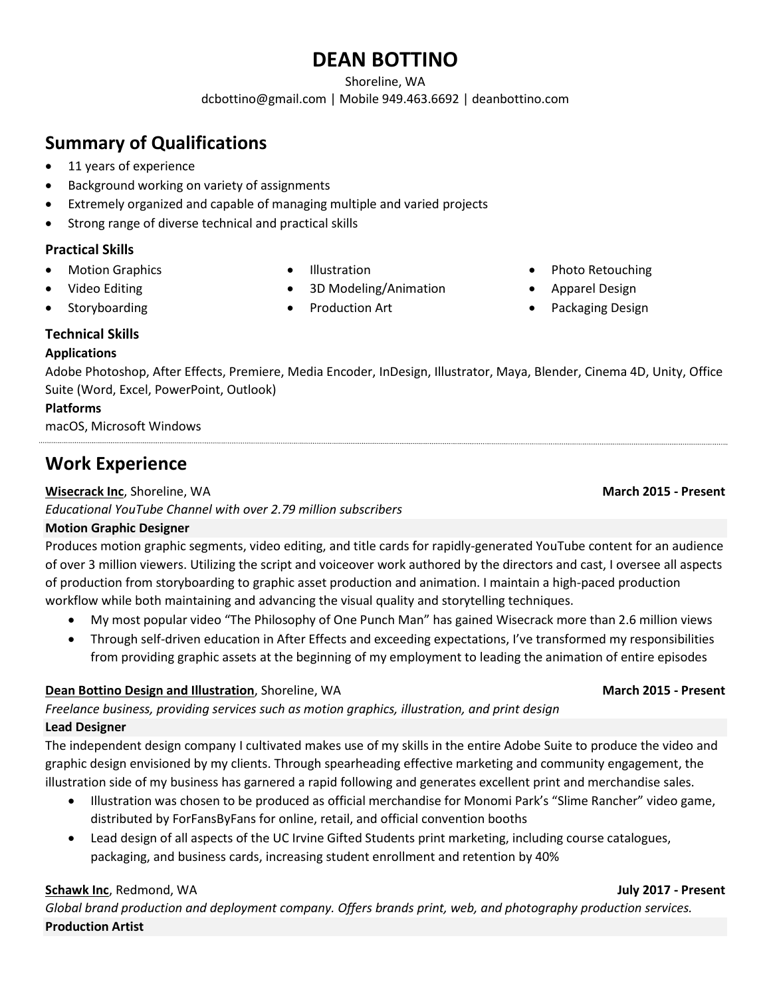# **DEAN BOTTINO**

Shoreline, WA

dcbottino@gmail.com | Mobile 949.463.6692 | deanbottino.com

# **Summary of Qualifications**

- 11 years of experience
- Background working on variety of assignments
- Extremely organized and capable of managing multiple and varied projects
- Strong range of diverse technical and practical skills

### **Practical Skills**

**Motion Graphics** 

- Illustration
- 3D Modeling/Animation

• Video Editing **Storyboarding** 

• Production Art

- Photo Retouching
- Apparel Design
- Packaging Design

### **Technical Skills**

### **Applications**

Adobe Photoshop, After Effects, Premiere, Media Encoder, InDesign, Illustrator, Maya, Blender, Cinema 4D, Unity, Office Suite (Word, Excel, PowerPoint, Outlook)

### **Platforms**

macOS, Microsoft Windows

# **Work Experience**

#### **Wisecrack Inc.** Shoreline, WA **March 2015 - Present**

*Educational YouTube Channel with over 2.79 million subscribers*

## **Motion Graphic Designer**

Produces motion graphic segments, video editing, and title cards for rapidly-generated YouTube content for an audience of over 3 million viewers. Utilizing the script and voiceover work authored by the directors and cast, I oversee all aspects of production from storyboarding to graphic asset production and animation. I maintain a high-paced production workflow while both maintaining and advancing the visual quality and storytelling techniques.

- My most popular video "The Philosophy of One Punch Man" has gained Wisecrack more than 2.6 million views
- Through self-driven education in After Effects and exceeding expectations, I've transformed my responsibilities from providing graphic assets at the beginning of my employment to leading the animation of entire episodes

### **Dean Bottino Design and Illustration**, Shoreline, WA **March 2015 - Present**

*Freelance business, providing services such as motion graphics, illustration, and print design* **Lead Designer**

The independent design company I cultivated makes use of my skills in the entire Adobe Suite to produce the video and graphic design envisioned by my clients. Through spearheading effective marketing and community engagement, the illustration side of my business has garnered a rapid following and generates excellent print and merchandise sales.

- Illustration was chosen to be produced as official merchandise for Monomi Park's "Slime Rancher" video game, distributed by ForFansByFans for online, retail, and official convention booths
- Lead design of all aspects of the UC Irvine Gifted Students print marketing, including course catalogues, packaging, and business cards, increasing student enrollment and retention by 40%

### **Schawk Inc**, Redmond, WA **July 2017 - Present**

*Global brand production and deployment company. Offers brands print, web, and photography production services.* **Production Artist**